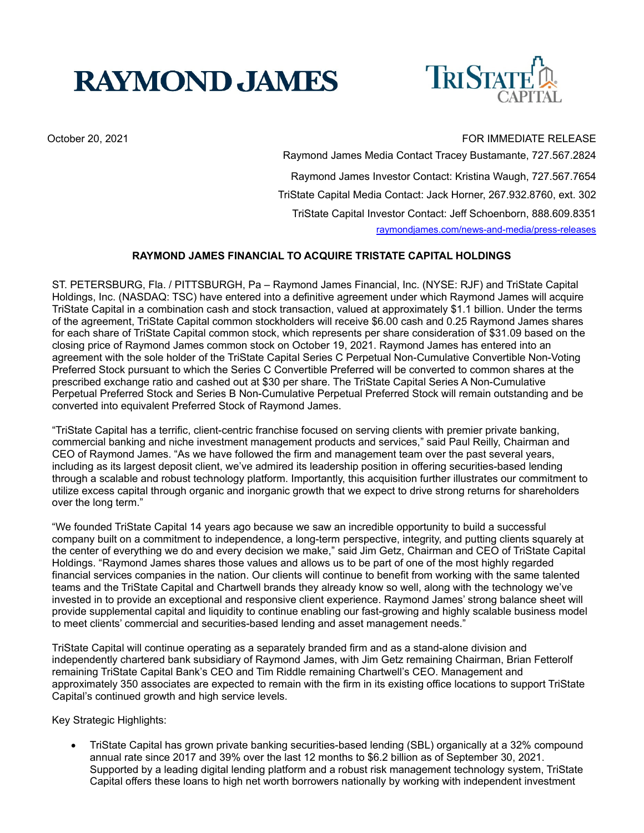# **RAYMOND JAMES**



## October 20, 2021 **FOR IMMEDIATE RELEASE**

 Raymond James Media Contact Tracey Bustamante, 727.567.2824 Raymond James Investor Contact: Kristina Waugh, 727.567.7654 TriState Capital Media Contact: Jack Horner, 267.932.8760, ext. 302 TriState Capital Investor Contact: Jeff Schoenborn, 888.609.8351 raymondjames.com/news-and-media/press-releases

# **RAYMOND JAMES FINANCIAL TO ACQUIRE TRISTATE CAPITAL HOLDINGS**

ST. PETERSBURG, Fla. / PITTSBURGH, Pa – Raymond James Financial, Inc. (NYSE: RJF) and TriState Capital Holdings, Inc. (NASDAQ: TSC) have entered into a definitive agreement under which Raymond James will acquire TriState Capital in a combination cash and stock transaction, valued at approximately \$1.1 billion. Under the terms of the agreement, TriState Capital common stockholders will receive \$6.00 cash and 0.25 Raymond James shares for each share of TriState Capital common stock, which represents per share consideration of \$31.09 based on the closing price of Raymond James common stock on October 19, 2021. Raymond James has entered into an agreement with the sole holder of the TriState Capital Series C Perpetual Non-Cumulative Convertible Non-Voting Preferred Stock pursuant to which the Series C Convertible Preferred will be converted to common shares at the prescribed exchange ratio and cashed out at \$30 per share. The TriState Capital Series A Non-Cumulative Perpetual Preferred Stock and Series B Non-Cumulative Perpetual Preferred Stock will remain outstanding and be converted into equivalent Preferred Stock of Raymond James.

"TriState Capital has a terrific, client-centric franchise focused on serving clients with premier private banking, commercial banking and niche investment management products and services," said Paul Reilly, Chairman and CEO of Raymond James. "As we have followed the firm and management team over the past several years, including as its largest deposit client, we've admired its leadership position in offering securities-based lending through a scalable and robust technology platform. Importantly, this acquisition further illustrates our commitment to utilize excess capital through organic and inorganic growth that we expect to drive strong returns for shareholders over the long term."

"We founded TriState Capital 14 years ago because we saw an incredible opportunity to build a successful company built on a commitment to independence, a long-term perspective, integrity, and putting clients squarely at the center of everything we do and every decision we make," said Jim Getz, Chairman and CEO of TriState Capital Holdings. "Raymond James shares those values and allows us to be part of one of the most highly regarded financial services companies in the nation. Our clients will continue to benefit from working with the same talented teams and the TriState Capital and Chartwell brands they already know so well, along with the technology we've invested in to provide an exceptional and responsive client experience. Raymond James' strong balance sheet will provide supplemental capital and liquidity to continue enabling our fast-growing and highly scalable business model to meet clients' commercial and securities-based lending and asset management needs."

TriState Capital will continue operating as a separately branded firm and as a stand-alone division and independently chartered bank subsidiary of Raymond James, with Jim Getz remaining Chairman, Brian Fetterolf remaining TriState Capital Bank's CEO and Tim Riddle remaining Chartwell's CEO. Management and approximately 350 associates are expected to remain with the firm in its existing office locations to support TriState Capital's continued growth and high service levels.

Key Strategic Highlights:

 TriState Capital has grown private banking securities-based lending (SBL) organically at a 32% compound annual rate since 2017 and 39% over the last 12 months to \$6.2 billion as of September 30, 2021. Supported by a leading digital lending platform and a robust risk management technology system, TriState Capital offers these loans to high net worth borrowers nationally by working with independent investment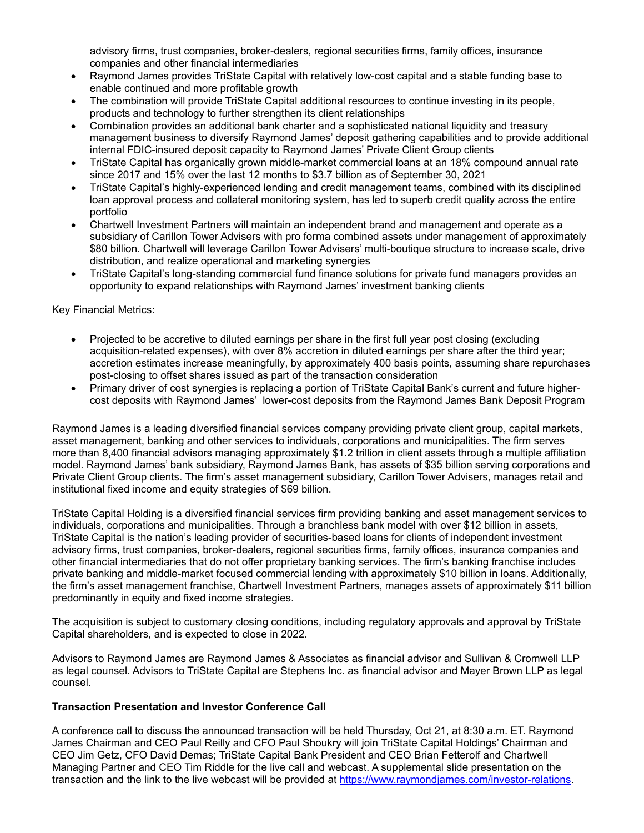advisory firms, trust companies, broker-dealers, regional securities firms, family offices, insurance companies and other financial intermediaries

- Raymond James provides TriState Capital with relatively low-cost capital and a stable funding base to enable continued and more profitable growth
- The combination will provide TriState Capital additional resources to continue investing in its people, products and technology to further strengthen its client relationships
- Combination provides an additional bank charter and a sophisticated national liquidity and treasury management business to diversify Raymond James' deposit gathering capabilities and to provide additional internal FDIC-insured deposit capacity to Raymond James' Private Client Group clients
- TriState Capital has organically grown middle-market commercial loans at an 18% compound annual rate since 2017 and 15% over the last 12 months to \$3.7 billion as of September 30, 2021
- TriState Capital's highly-experienced lending and credit management teams, combined with its disciplined loan approval process and collateral monitoring system, has led to superb credit quality across the entire portfolio
- Chartwell Investment Partners will maintain an independent brand and management and operate as a subsidiary of Carillon Tower Advisers with pro forma combined assets under management of approximately \$80 billion. Chartwell will leverage Carillon Tower Advisers' multi-boutique structure to increase scale, drive distribution, and realize operational and marketing synergies
- TriState Capital's long-standing commercial fund finance solutions for private fund managers provides an opportunity to expand relationships with Raymond James' investment banking clients

## Key Financial Metrics:

- Projected to be accretive to diluted earnings per share in the first full year post closing (excluding acquisition-related expenses), with over 8% accretion in diluted earnings per share after the third year; accretion estimates increase meaningfully, by approximately 400 basis points, assuming share repurchases post-closing to offset shares issued as part of the transaction consideration
- Primary driver of cost synergies is replacing a portion of TriState Capital Bank's current and future highercost deposits with Raymond James' lower-cost deposits from the Raymond James Bank Deposit Program

Raymond James is a leading diversified financial services company providing private client group, capital markets, asset management, banking and other services to individuals, corporations and municipalities. The firm serves more than 8,400 financial advisors managing approximately \$1.2 trillion in client assets through a multiple affiliation model. Raymond James' bank subsidiary, Raymond James Bank, has assets of \$35 billion serving corporations and Private Client Group clients. The firm's asset management subsidiary, Carillon Tower Advisers, manages retail and institutional fixed income and equity strategies of \$69 billion.

TriState Capital Holding is a diversified financial services firm providing banking and asset management services to individuals, corporations and municipalities. Through a branchless bank model with over \$12 billion in assets, TriState Capital is the nation's leading provider of securities-based loans for clients of independent investment advisory firms, trust companies, broker-dealers, regional securities firms, family offices, insurance companies and other financial intermediaries that do not offer proprietary banking services. The firm's banking franchise includes private banking and middle-market focused commercial lending with approximately \$10 billion in loans. Additionally, the firm's asset management franchise, Chartwell Investment Partners, manages assets of approximately \$11 billion predominantly in equity and fixed income strategies.

The acquisition is subject to customary closing conditions, including regulatory approvals and approval by TriState Capital shareholders, and is expected to close in 2022.

Advisors to Raymond James are Raymond James & Associates as financial advisor and Sullivan & Cromwell LLP as legal counsel. Advisors to TriState Capital are Stephens Inc. as financial advisor and Mayer Brown LLP as legal counsel.

#### **Transaction Presentation and Investor Conference Call**

A conference call to discuss the announced transaction will be held Thursday, Oct 21, at 8:30 a.m. ET. Raymond James Chairman and CEO Paul Reilly and CFO Paul Shoukry will join TriState Capital Holdings' Chairman and CEO Jim Getz, CFO David Demas; TriState Capital Bank President and CEO Brian Fetterolf and Chartwell Managing Partner and CEO Tim Riddle for the live call and webcast. A supplemental slide presentation on the transaction and the link to the live webcast will be provided at https://www.raymondjames.com/investor-relations.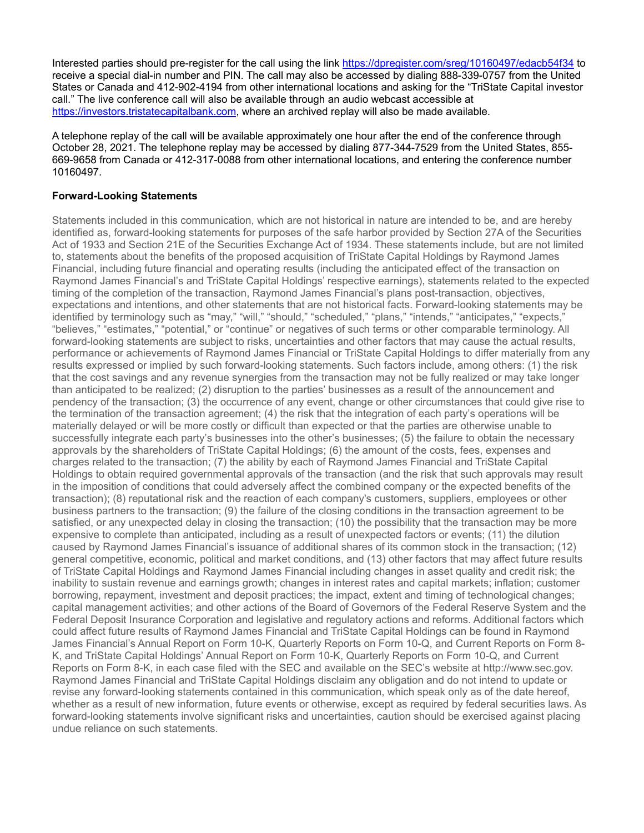Interested parties should pre-register for the call using the link https://dpregister.com/sreg/10160497/edacb54f34 to receive a special dial-in number and PIN. The call may also be accessed by dialing 888-339-0757 from the United States or Canada and 412-902-4194 from other international locations and asking for the "TriState Capital investor call." The live conference call will also be available through an audio webcast accessible at https://investors.tristatecapitalbank.com, where an archived replay will also be made available.

A telephone replay of the call will be available approximately one hour after the end of the conference through October 28, 2021. The telephone replay may be accessed by dialing 877-344-7529 from the United States, 855- 669-9658 from Canada or 412-317-0088 from other international locations, and entering the conference number 10160497.

## **Forward-Looking Statements**

Statements included in this communication, which are not historical in nature are intended to be, and are hereby identified as, forward-looking statements for purposes of the safe harbor provided by Section 27A of the Securities Act of 1933 and Section 21E of the Securities Exchange Act of 1934. These statements include, but are not limited to, statements about the benefits of the proposed acquisition of TriState Capital Holdings by Raymond James Financial, including future financial and operating results (including the anticipated effect of the transaction on Raymond James Financial's and TriState Capital Holdings' respective earnings), statements related to the expected timing of the completion of the transaction, Raymond James Financial's plans post-transaction, objectives, expectations and intentions, and other statements that are not historical facts. Forward-looking statements may be identified by terminology such as "may," "will," "should," "scheduled," "plans," "intends," "anticipates," "expects," "believes," "estimates," "potential," or "continue" or negatives of such terms or other comparable terminology. All forward-looking statements are subject to risks, uncertainties and other factors that may cause the actual results, performance or achievements of Raymond James Financial or TriState Capital Holdings to differ materially from any results expressed or implied by such forward-looking statements. Such factors include, among others: (1) the risk that the cost savings and any revenue synergies from the transaction may not be fully realized or may take longer than anticipated to be realized; (2) disruption to the parties' businesses as a result of the announcement and pendency of the transaction; (3) the occurrence of any event, change or other circumstances that could give rise to the termination of the transaction agreement; (4) the risk that the integration of each party's operations will be materially delayed or will be more costly or difficult than expected or that the parties are otherwise unable to successfully integrate each party's businesses into the other's businesses; (5) the failure to obtain the necessary approvals by the shareholders of TriState Capital Holdings; (6) the amount of the costs, fees, expenses and charges related to the transaction; (7) the ability by each of Raymond James Financial and TriState Capital Holdings to obtain required governmental approvals of the transaction (and the risk that such approvals may result in the imposition of conditions that could adversely affect the combined company or the expected benefits of the transaction); (8) reputational risk and the reaction of each company's customers, suppliers, employees or other business partners to the transaction; (9) the failure of the closing conditions in the transaction agreement to be satisfied, or any unexpected delay in closing the transaction; (10) the possibility that the transaction may be more expensive to complete than anticipated, including as a result of unexpected factors or events; (11) the dilution caused by Raymond James Financial's issuance of additional shares of its common stock in the transaction; (12) general competitive, economic, political and market conditions, and (13) other factors that may affect future results of TriState Capital Holdings and Raymond James Financial including changes in asset quality and credit risk; the inability to sustain revenue and earnings growth; changes in interest rates and capital markets; inflation; customer borrowing, repayment, investment and deposit practices; the impact, extent and timing of technological changes; capital management activities; and other actions of the Board of Governors of the Federal Reserve System and the Federal Deposit Insurance Corporation and legislative and regulatory actions and reforms. Additional factors which could affect future results of Raymond James Financial and TriState Capital Holdings can be found in Raymond James Financial's Annual Report on Form 10-K, Quarterly Reports on Form 10-Q, and Current Reports on Form 8- K, and TriState Capital Holdings' Annual Report on Form 10-K, Quarterly Reports on Form 10-Q, and Current Reports on Form 8-K, in each case filed with the SEC and available on the SEC's website at http://www.sec.gov. Raymond James Financial and TriState Capital Holdings disclaim any obligation and do not intend to update or revise any forward-looking statements contained in this communication, which speak only as of the date hereof, whether as a result of new information, future events or otherwise, except as required by federal securities laws. As forward-looking statements involve significant risks and uncertainties, caution should be exercised against placing undue reliance on such statements.